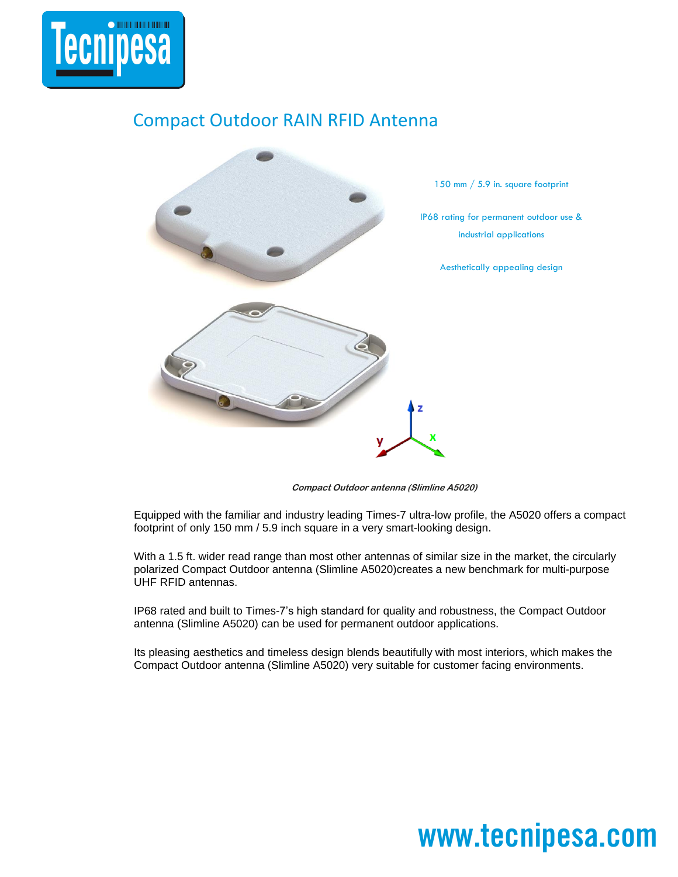

## Compact Outdoor RAIN RFID Antenna



**Compact Outdoor antenna (Slimline A5020)** 

Equipped with the familiar and industry leading Times-7 ultra-low profile, the A5020 offers a compact footprint of only 150 mm / 5.9 inch square in a very smart-looking design.

With a 1.5 ft. wider read range than most other antennas of similar size in the market, the circularly polarized Compact Outdoor antenna (Slimline A5020)creates a new benchmark for multi-purpose UHF RFID antennas.

IP68 rated and built to Times-7's high standard for quality and robustness, the Compact Outdoor antenna (Slimline A5020) can be used for permanent outdoor applications.

Its pleasing aesthetics and timeless design blends beautifully with most interiors, which makes the Compact Outdoor antenna (Slimline A5020) very suitable for customer facing environments.

# www.tecnipesa.com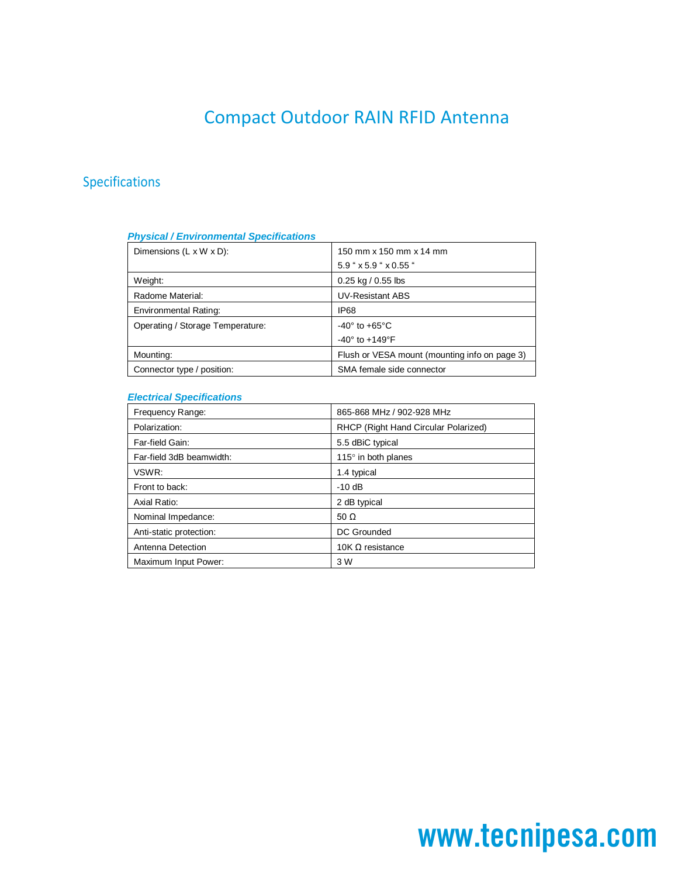## Compact Outdoor RAIN RFID Antenna

### Specifications

#### *Physical / Environmental Specifications*

| Dimensions $(L \times W \times D)$ : | 150 mm x 150 mm x 14 mm                       |
|--------------------------------------|-----------------------------------------------|
|                                      | $5.9$ " $\times$ 5.9 " $\times$ 0.55 "        |
| Weight:                              | $0.25$ kg / 0.55 lbs                          |
| Radome Material:                     | <b>UV-Resistant ABS</b>                       |
| Environmental Rating:                | IP68                                          |
| Operating / Storage Temperature:     | $-40^\circ$ to $+65^\circ$ C                  |
|                                      | $-40^{\circ}$ to $+149^{\circ}$ F             |
| Mounting:                            | Flush or VESA mount (mounting info on page 3) |
| Connector type / position:           | SMA female side connector                     |

### *Electrical Specifications*

| Frequency Range:         | 865-868 MHz / 902-928 MHz            |
|--------------------------|--------------------------------------|
| Polarization:            | RHCP (Right Hand Circular Polarized) |
| Far-field Gain:          | 5.5 dBiC typical                     |
| Far-field 3dB beamwidth: | 115 $\degree$ in both planes         |
| VSWR:                    | 1.4 typical                          |
| Front to back:           | $-10$ dB                             |
| Axial Ratio:             | 2 dB typical                         |
| Nominal Impedance:       | 50 $\Omega$                          |
| Anti-static protection:  | DC Grounded                          |
| Antenna Detection        | 10K $\Omega$ resistance              |
| Maximum Input Power:     | 3 W                                  |

# www.tecnipesa.com